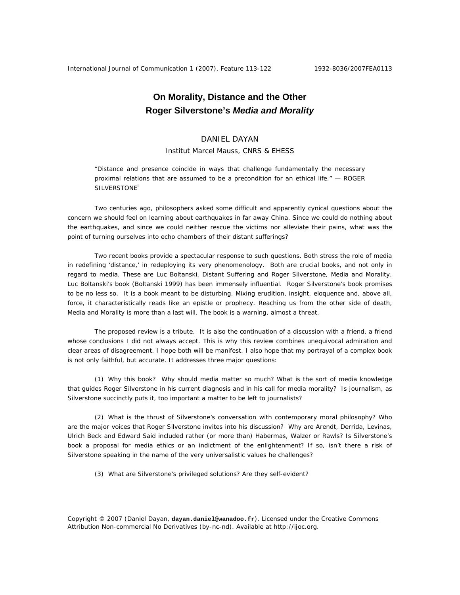# **On Morality, Distance and the Other Roger Silverstone's** *Media and Morality*

## DANIEL DAYAN

## Institut Marcel Mauss, CNRS & EHESS

"Distance and presence coincide in ways that challenge fundamentally the necessary proximal relations that are assumed to be a precondition for an ethical life." — ROGER **SILVERSTONE<sup>i</sup>** 

Two centuries ago, philosophers asked some difficult and apparently cynical questions about the concern we should feel on learning about earthquakes in far away China. Since we could do nothing about the earthquakes, and since we could neither rescue the victims nor alleviate their pains, what was the point of turning ourselves into echo chambers of their distant sufferings?

Two recent books provide a spectacular response to such questions. Both stress the role of media in redefining 'distance,' in redeploying its very phenomenology. Both are crucial books, and not only in regard to media. These are Luc Boltanski, *Distant Suffering* and Roger Silverstone, *Media and Morality*. Luc Boltanski's book (Boltanski 1999) has been immensely influential. Roger Silverstone's book promises to be no less so. It is a book meant to be disturbing. Mixing erudition, insight, eloquence and, above all, force, it characteristically reads like an epistle or prophecy. Reaching us from the other side of death, *Media and Morality* is more than a last will. The book is a warning, almost a threat.

The proposed review is a tribute. It is also the continuation of a discussion with a friend, a friend whose conclusions I did not always accept. This is why this review combines unequivocal admiration and clear areas of disagreement. I hope both will be manifest. I also hope that my portrayal of a complex book is not only faithful, but accurate. It addresses three major questions:

(1) Why this book? Why should media matter so much? What is the sort of media knowledge that guides Roger Silverstone in his current diagnosis and in his call for media morality? Is journalism, as Silverstone succinctly puts it, too important a matter to be left to journalists?

(2) What is the thrust of Silverstone's conversation with contemporary moral philosophy? Who are the major voices that Roger Silverstone invites into his discussion? Why are Arendt, Derrida, Levinas, Ulrich Beck and Edward Said included rather (or more than) Habermas, Walzer or Rawls? Is Silverstone's book a proposal for media ethics or an indictment of the enlightenment? If so, isn't there a risk of Silverstone speaking in the name of the very universalistic values he challenges?

(3) What are Silverstone's privileged solutions? Are they self-evident?

Copyright © 2007 (Daniel Dayan, **dayan.daniel@wanadoo.fr**). Licensed under the Creative Commons Attribution Non-commercial No Derivatives (by-nc-nd). Available at http://ijoc.org.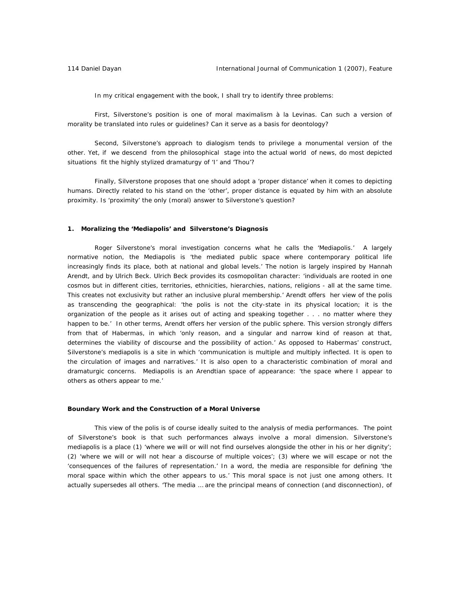In my critical engagement with the book, I shall try to identify three problems:

First, Silverstone's position is one of moral maximalism *à la* Levinas. Can such a version of morality be translated into rules or guidelines? Can it serve as a basis for deontology?

Second, Silverstone's approach to dialogism tends to privilege a monumental version of *the other*. Yet, if we descend from the philosophical stage into the actual world of news, do most depicted situations fit the highly stylized dramaturgy of 'I' and 'Thou'?

Finally, Silverstone proposes that one should adopt a 'proper distance' when it comes to depicting humans. Directly related to his stand on the 'other', proper distance is equated by him with an absolute proximity. Is 'proximity' the only (moral) answer to Silverstone's question?

#### **1. Moralizing the 'Mediapolis' and Silverstone's Diagnosis**

Roger Silverstone's moral investigation concerns what he calls the 'Mediapolis.' A largely normative notion, the Mediapolis is 'the mediated public space where contemporary political life increasingly finds its place, both at national and global levels.' The notion is largely inspired by Hannah Arendt, and by Ulrich Beck. Ulrich Beck provides its cosmopolitan character: 'individuals are rooted in one cosmos but in different cities, territories, ethnicities, hierarchies, nations, religions - all at the same time. This creates not exclusivity but rather an inclusive plural membership.' Arendt offers her view of the polis as transcending the geographical: 'the polis is not the city-state in its physical location; it is the organization of the people as it arises out of acting and speaking together . . . no matter where they happen to be.' In other terms, Arendt offers her version of the public sphere. This version strongly differs from that of Habermas, in which 'only reason, and a singular and narrow kind of reason at that, determines the viability of discourse and the possibility of action.' As opposed to Habermas' construct, Silverstone's mediapolis is a site in which 'communication is multiple and multiply inflected. It is open to the circulation of images and narratives.' It is also open to a characteristic combination of moral and dramaturgic concerns. Mediapolis is an Arendtian space of appearance: 'the space where I appear to others as others appear to me.'

## *Boundary Work and the Construction of a Moral Universe*

This view of the polis is of course ideally suited to the analysis of media performances. The point of Silverstone's book is that such performances always involve a moral dimension. Silverstone's mediapolis is a place (1) 'where we will or will not find ourselves alongside the other in his or her dignity'; (2) 'where we will or will not hear a discourse of multiple voices'; (3) where we will escape or not the 'consequences of the failures of representation.' In a word, the media are responsible for defining 'the moral space within which the other appears to us.' This moral space is not just one among others. It actually supersedes all others. 'The media … are the principal means of connection (and disconnection), of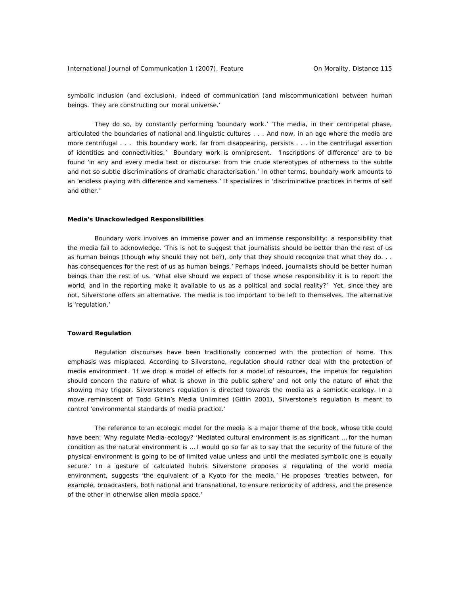International Journal of Communication 1 (2007), Feature **Communication** On Morality, Distance 115

symbolic inclusion (and exclusion), indeed of communication (and miscommunication) between human beings. They are constructing our moral universe.'

They do so, by constantly performing 'boundary work.' 'The media, in their centripetal phase, articulated the boundaries of national and linguistic cultures . . . And now, in an age where the media are more centrifugal . . . this boundary work, far from disappearing, persists . . . in the centrifugal assertion of identities and connectivities.' Boundary work is omnipresent. 'Inscriptions of difference' are to be found 'in any and every media text or discourse: from the crude stereotypes of otherness to the subtle and not so subtle discriminations of dramatic characterisation.' In other terms, boundary work amounts to an 'endless playing with difference and sameness.' It specializes in 'discriminative practices in terms of self and other.'

#### *Media's Unackowledged Responsibilities*

Boundary work involves an immense power and an immense responsibility: a responsibility that the media fail to acknowledge. 'This is not to suggest that journalists should be better than the rest of us as human beings (though why should they not be?), only that they should recognize that what they do... has consequences for the rest of us as human beings.' Perhaps indeed, journalists should be better human beings than the rest of us. 'What else should we expect of those whose responsibility it is to report the world, and in the reporting make it available to us as a political and social reality?' Yet, since they are not, Silverstone offers an alternative. The media is too important to be left to themselves. The alternative is 'regulation.'

#### *Toward Regulation*

Regulation discourses have been traditionally concerned with the protection of home. This emphasis was misplaced. According to Silverstone, regulation should rather deal with the protection of media environment. 'If we drop a model of effects for a model of resources, the impetus for regulation should concern the nature of what is shown in the public sphere' and not only the nature of what the showing may trigger. Silverstone's regulation is directed towards the media as a semiotic ecology. In a move reminiscent of Todd Gitlin's *Media Unlimited* (Gitlin 2001), Silverstone's regulation is meant to control 'environmental standards of media practice.'

The reference to an ecologic model for the media is a major theme of the book, whose title could have been: *Why regulate Media-ecology?* 'Mediated cultural environment is as significant … for the human condition as the natural environment is … I would go so far as to say that the security of the future of the physical environment is going to be of limited value unless and until the mediated symbolic one is equally secure.' In a gesture of calculated hubris Silverstone proposes a regulating of the world media environment, suggests 'the equivalent of a Kyoto for the media.' He proposes 'treaties between, for example, broadcasters, both national and transnational, to ensure reciprocity of address, and the presence of the other in otherwise alien media space.'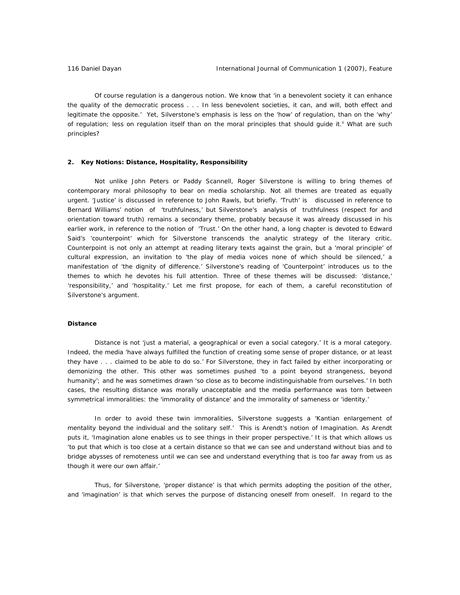Of course regulation is a dangerous notion. We know that 'in a benevolent society it can enhance the quality of the democratic process . . . In less benevolent societies, it can, and will, both effect and legitimate the opposite.' Yet, Silverstone's emphasis is less on the 'how' of regulation, than on the 'why' of regulation; less on regulation itself than on the moral principles that should guide it.<sup>ii</sup> What are such principles?

#### **2. Key Notions: Distance, Hospitality, Responsibility**

Not unlike John Peters or Paddy Scannell, Roger Silverstone is willing to bring themes of contemporary moral philosophy to bear on media scholarship. Not all themes are treated as equally urgent. 'Justice' is discussed in reference to John Rawls, but briefly. 'Truth' is discussed in reference to Bernard Williams' notion of 'truthfulness,' but Silverstone's analysis of truthfulness (respect for and orientation toward truth) remains a secondary theme, probably because it was already discussed in his earlier work, in reference to the notion of 'Trust.' On the other hand, a long chapter is devoted to Edward Said's 'counterpoint' which for Silverstone transcends the analytic strategy of the literary critic. Counterpoint is not only an attempt at reading literary texts against the grain, but a 'moral principle' of cultural expression, an invitation to 'the play of media voices none of which should be silenced,' a manifestation of 'the dignity of difference.' Silverstone's reading of 'Counterpoint' introduces us to the themes to which he devotes his full attention. Three of these themes will be discussed: 'distance,' 'responsibility,' and 'hospitality.' Let me first propose, for each of them, a careful reconstitution of Silverstone's argument.

## *Distance*

Distance is not 'just a material, a geographical or even a social category.' It is a moral category. Indeed, the media 'have always fulfilled the function of creating some sense of proper distance, or at least they have . . . claimed to be able to do so.' For Silverstone, they in fact failed by either incorporating or demonizing the other. This other was sometimes pushed 'to a point beyond strangeness, beyond humanity'; and he was sometimes drawn 'so close as to become indistinguishable from ourselves.' In both cases, the resulting distance was morally unacceptable and the media performance was torn between symmetrical immoralities: the 'immorality of distance' and the immorality of sameness or 'identity.'

In order to avoid these twin immoralities, Silverstone suggests a 'Kantian enlargement of mentality beyond the individual and the solitary self.' This is Arendt's notion of Imagination. As Arendt puts it, 'Imagination alone enables us to see things in their proper perspective.' It is that which allows us 'to put that which is too close at a certain distance so that we can see and understand without bias and to bridge abysses of remoteness until we can see and understand everything that is too far away from us as though it were our own affair.'

Thus, for Silverstone, 'proper distance' is that which permits adopting the position of the other, and 'imagination' is that which serves the purpose of distancing oneself from oneself. In regard to the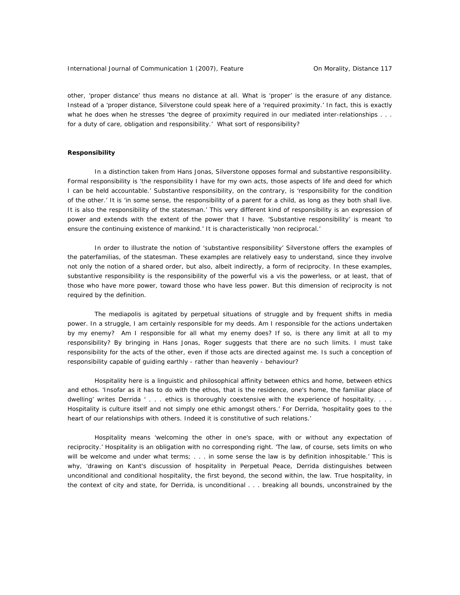other, 'proper distance' thus means no distance at all. What is 'proper' is the erasure of any distance. Instead of a 'proper distance, Silverstone could speak here of a 'required proximity.' In fact, this is exactly what he does when he stresses 'the *degree of proximity* required in our mediated inter-relationships . . . for a duty of care, obligation and responsibility.' What sort of responsibility?

## *Responsibility*

In a distinction taken from Hans Jonas, Silverstone opposes formal and substantive responsibility. Formal responsibility is 'the responsibility I have for my own acts, those aspects of life and deed for which I can be held accountable.' Substantive responsibility, on the contrary, is 'responsibility for the condition of the other.' It is 'in some sense, the responsibility of a parent for a child, as long as they both shall live. It is also the responsibility of the statesman.' This very different kind of responsibility is an expression of power and extends with the extent of the power that I have. 'Substantive responsibility' is meant 'to ensure the continuing existence of mankind.' It is characteristically 'non reciprocal.'

In order to illustrate the notion of 'substantive responsibility' Silverstone offers the examples of the paterfamilias, of the statesman. These examples are relatively easy to understand, since they involve not only the notion of a shared order, but also, albeit indirectly, a form of reciprocity. In these examples, substantive responsibility is the responsibility of the powerful vis a vis the powerless, or at least, that of those who have more power, toward those who have less power. But this dimension of reciprocity is not required by the definition.

The mediapolis is agitated by perpetual situations of struggle and by frequent shifts in media power. In a struggle, I am certainly responsible for my deeds. Am I responsible for the actions undertaken by my enemy? Am I responsible for all what my enemy does? If so, is there any limit at all to my responsibility? By bringing in Hans Jonas, Roger suggests that there are no such limits. I must take responsibility for the acts of the other, even if those acts are directed against me. Is such a conception of responsibility capable of guiding earthly - rather than heavenly - behaviour?

*Hospitality* here is a linguistic and philosophical affinity between *ethics* and *home*, between *ethics* and *ethos*. 'Insofar as it has to do with the ethos, that is the residence, one's home, the familiar place of dwelling' writes Derrida ' . . . ethics is thoroughly coextensive with the experience of hospitality. . . . Hospitality is culture itself and not simply one ethic amongst others.' For Derrida, 'hospitality goes to the heart of our relationships with others. Indeed it is constitutive of such relations.'

Hospitality means 'welcoming the other in one's space, with or without any expectation of reciprocity.' Hospitality is an obligation with no corresponding right. 'The law, of course, sets limits on who will be welcome and under what terms; . . . in some sense the law is by definition inhospitable.' This is why, 'drawing on Kant's discussion of hospitality in *Perpetual Peace*, Derrida distinguishes between *unconditional* and *conditional* hospitality, the first beyond, the second within, the law. True hospitality, in the context of city and state, for Derrida, is unconditional . . . breaking all bounds, unconstrained by the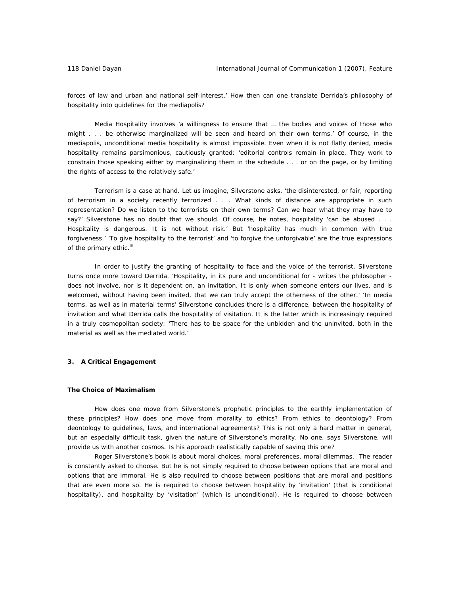forces of law and urban and national self-interest.' How then can one translate Derrida's philosophy of hospitality into guidelines for the mediapolis?

Media Hospitality involves 'a willingness to ensure that … the bodies and voices of those who might . . . be otherwise marginalized will be seen and heard on their own terms.' Of course, in the mediapolis, unconditional media hospitality is almost impossible. Even when it is not flatly denied, media hospitality remains parsimonious, cautiously granted: 'editorial controls remain in place. They work to constrain those speaking either by marginalizing them in the schedule . . . or on the page, or by limiting the rights of access to the relatively safe.'

Terrorism is a case at hand. Let us imagine, Silverstone asks, 'the disinterested, or fair, reporting of terrorism in a society recently terrorized . . . What kinds of distance are appropriate in such representation? Do we listen to the terrorists on their own terms? Can we hear what they may have to say?' Silverstone has no doubt that we should. Of course, he notes, hospitality 'can be abused . . . Hospitality is dangerous. It is not without risk.' But 'hospitality has much in common with true forgiveness.' 'To give hospitality to the terrorist' and 'to forgive the unforgivable' are the true expressions of the primary ethic.<sup>iii</sup>

In order to justify the granting of hospitality to face and the voice of the terrorist, Silverstone turns once more toward Derrida. 'Hospitality, in its pure and unconditional for - writes the philosopher does not involve, nor is it dependent on, an invitation. It is only when someone enters our lives, and is welcomed, without having been invited, that we can truly accept the otherness of the other.' 'In media terms, as well as in material terms' Silverstone concludes there is a difference, between the hospitality of *invitation* and what Derrida calls the hospitality of *visitation*. It is the latter which is increasingly required in a truly cosmopolitan society: 'There has to be space for the unbidden and the uninvited, both in the material as well as the mediated world.'

#### **3. A Critical Engagement**

#### *The Choice of Maximalism*

How does one move from Silverstone's prophetic principles to the earthly implementation of these principles? How does one move from morality to ethics? From ethics to deontology? From deontology to guidelines, laws, and international agreements? This is not only a hard matter in general, but an especially difficult task, given the nature of Silverstone's morality. No one, says Silverstone, will provide us with another cosmos. Is his approach realistically capable of saving this one?

Roger Silverstone's book is about moral choices, moral preferences, moral dilemmas. The reader is constantly asked to choose. But he is not simply required to choose between options that are moral and options that are immoral. He is also required to choose between positions that are moral and positions that are even more so. He is required to choose between hospitality by 'invitation' (that is conditional hospitality), and hospitality by 'visitation' (which is unconditional). He is required to choose between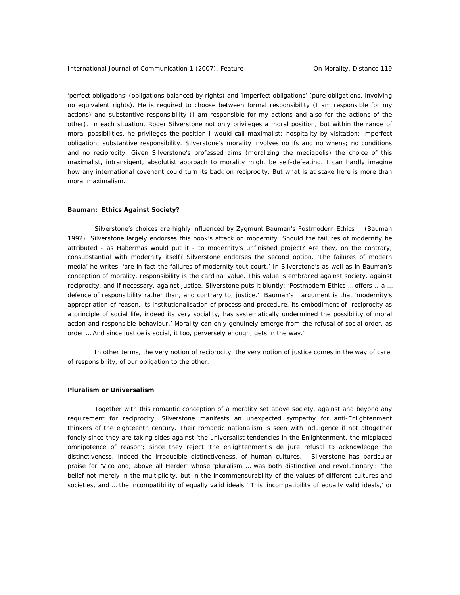'perfect obligations' (obligations balanced by rights) and 'imperfect obligations' (pure obligations, involving no equivalent rights). He is required to choose between formal responsibility (I am responsible for my actions) and substantive responsibility (I am responsible for my actions *and also* for the actions of the other). In each situation, Roger Silverstone not only privileges a moral position, but within the range of moral possibilities, he privileges the position I would call maximalist: hospitality by visitation; imperfect obligation; substantive responsibility. Silverstone's morality involves no ifs and no whens; no conditions and no reciprocity. Given Silverstone's professed aims (moralizing the mediapolis) the choice of this maximalist, intransigent, absolutist approach to morality might be self-defeating. I can hardly imagine how any international covenant could turn its back on reciprocity. But what is at stake here is more than moral maximalism.

## *Bauman: Ethics Against Society?*

Silverstone's choices are highly influenced by Zygmunt Bauman's *Postmodern Ethics* (Bauman 1992). Silverstone largely endorses this book's attack on modernity. Should the failures of modernity be attributed - as Habermas would put it - to modernity's unfinished project? Are they, on the contrary, consubstantial with modernity itself? Silverstone endorses the second option. 'The failures of modern media' he writes, 'are in fact the failures of modernity tout court.' In Silverstone's as well as in Bauman's conception of morality, responsibility is the cardinal value. This value is embraced against society, against reciprocity, and if necessary, against justice. Silverstone puts it bluntly: '*Postmodern Ethics* … offers … a … defence of responsibility rather than, and contrary to, justice.' Bauman's argument is that 'modernity's appropriation of reason, its institutionalisation of process and procedure, its embodiment of reciprocity as a principle of social life, indeed its very sociality, has systematically undermined the possibility of moral action and responsible behaviour.' Morality can only genuinely emerge from the refusal of social order, as order … And since justice is social, it too, perversely enough, gets in the way.'

In other terms, the very notion of reciprocity, the very notion of justice comes in the way of care, of responsibility, of our obligation to the other.

#### *Pluralism or Universalism*

Together with this romantic conception of a morality set above society, against and beyond any requirement for reciprocity, Silverstone manifests an unexpected sympathy for anti-Enlightenment thinkers of the eighteenth century. Their romantic nationalism is seen with indulgence if not altogether fondly since they are taking sides against 'the universalist tendencies in the Enlightenment, the misplaced omnipotence of reason'; since they reject 'the enlightenment's de jure refusal to acknowledge the distinctiveness, indeed the irreducible distinctiveness, of human cultures.' Silverstone has particular praise for 'Vico and, above all Herder' whose 'pluralism … was both distinctive and revolutionary': 'the belief not merely in the multiplicity, but in the incommensurability of the values of different cultures and societies, and … the incompatibility of equally valid ideals.' This 'incompatibility of equally valid ideals,' or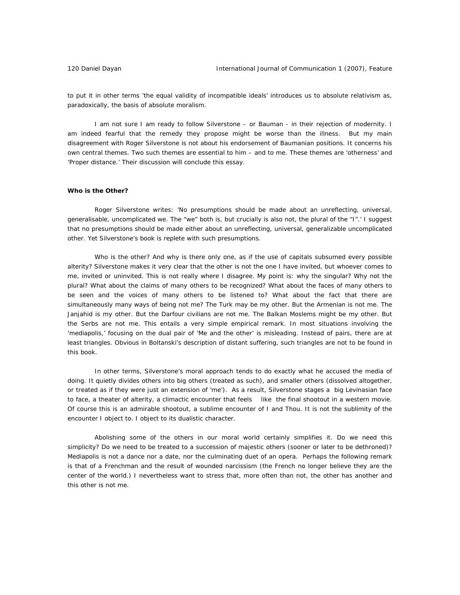to put it in other terms 'the equal validity of incompatible ideals' introduces us to absolute relativism as, paradoxically, the basis of absolute moralism.

I am not sure I am ready to follow Silverstone – or Bauman - in their rejection of modernity. I am indeed fearful that the remedy they propose might be worse than the illness. But my main disagreement with Roger Silverstone is not about his endorsement of Baumanian positions. It concerns his own central themes. Two such themes are essential to him – and to me. These themes are 'otherness' and 'Proper distance.' Their discussion will conclude this essay.

## *Who is the Other?*

Roger Silverstone writes: 'No presumptions should be made about an unreflecting, universal, generalisable, uncomplicated we. The "we" both is, but crucially is also not, the plural of the "I".' I suggest that no presumptions should be made either about an unreflecting, universal, generalizable uncomplicated other. Yet Silverstone's book is replete with such presumptions.

Who is *the other*? And why is there only one, as if the use of capitals subsumed every possible alterity? Silverstone makes it very clear that the *other* is not the one I have invited, but whoever comes to me, invited or uninvited. This is not really where I disagree. My point is: why the singular? Why not the plural? What about the claims of many others to be recognized? What about the faces of many others to be seen and the voices of many others to be listened to? What about the fact that there are simultaneously many ways of being not me? The Turk may be my other. But the Armenian is not me. The Janjahid is my other. But the Darfour civilians are not me. The Balkan Moslems might be my other. But the Serbs are not me. This entails a very simple empirical remark. In most situations involving the 'mediapolis,' focusing on the dual pair of 'Me and the other' is misleading. Instead of pairs, there are at least triangles. Obvious in Boltanski's description of distant suffering, such triangles are not to be found in this book.

In other terms, Silverstone's moral approach tends to do exactly what he accused the media of doing. It quietly divides others into big others (treated as such), and smaller others (dissolved altogether, or treated as if they were just an extension of 'me'). As a result, Silverstone stages a big Levinasian face to face, a theater of alterity, a climactic encounter that feels like the final shootout in a western movie. Of course this is an admirable shootout, a sublime encounter of I and Thou. It is not the sublimity of the encounter I object to. I object to its dualistic character.

Abolishing some of the others in our moral world certainly simplifies it. Do we need this simplicity? Do we need to be treated to a succession of majestic others (sooner or later to be dethroned)? Mediapolis is not a dance nor a date, nor the culminating duet of an opera. Perhaps the following remark is that of a Frenchman and the result of wounded narcissism (the French no longer believe they are the center of the world.) I nevertheless want to stress that, more often than not, the other has another and this other is not me.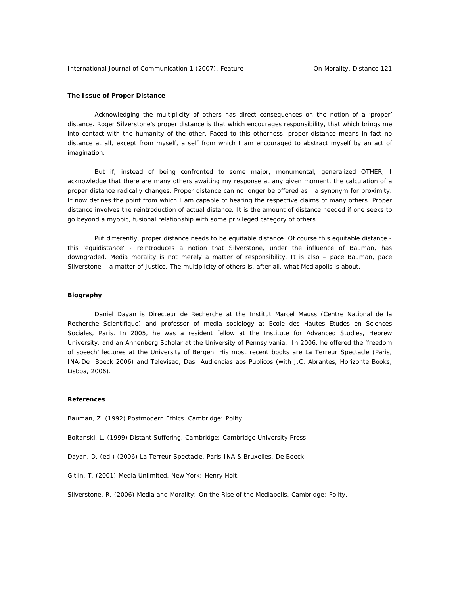International Journal of Communication 1 (2007), Feature **Communication** On Morality, Distance 121

#### *The Issue of Proper Distance*

Acknowledging the multiplicity of others has direct consequences on the notion of a 'proper' distance. Roger Silverstone's proper distance is that which encourages responsibility, that which brings me into contact with the humanity of the other. Faced to this otherness, proper distance means in fact no distance at all, except from myself, a self from which I am encouraged to abstract myself by an act of imagination.

But if, instead of being confronted to some major, monumental, generalized OTHER, I acknowledge that there are many others awaiting my response at any given moment, the calculation of a proper distance radically changes. Proper distance can no longer be offered as a synonym for proximity. It now defines the point from which I am capable of hearing the respective claims of many others. Proper distance involves the reintroduction of actual distance. It is the amount of distance needed if one seeks to go beyond a myopic, fusional relationship with some privileged category of others.

Put differently, proper distance needs to be *equitable* distance. Of course this equitable distance this 'equidistance' - reintroduces a notion that Silverstone, under the influence of Bauman, has downgraded. Media morality is not merely a matter of responsibility. It is also – pace Bauman, pace Silverstone – a matter of Justice. The multiplicity of others is, after all, what Mediapolis is about.

#### **Biography**

Daniel Dayan is Directeur de Recherche at the Institut Marcel Mauss (Centre National de la Recherche Scientifique) and professor of media sociology at Ecole des Hautes Etudes en Sciences Sociales, Paris. In 2005, he was a resident fellow at the Institute for Advanced Studies, Hebrew University, and an Annenberg Scholar at the University of Pennsylvania. In 2006, he offered the 'freedom of speech' lectures at the University of Bergen*.* His most recent books are *La Terreur Spectacle* (Paris, INA-De Boeck 2006) and *Televisao, Das Audiencias aos Publicos* (with J.C. Abrantes, Horizonte Books, Lisboa, 2006).

#### **References**

Bauman, Z. (1992) *Postmodern Ethics*. Cambridge: Polity.

Boltanski, L. (1999) *Distant Suffering*. Cambridge: Cambridge University Press.

Dayan, D. (ed.) (2006) *La Terreur Spectacle*. Paris-INA & Bruxelles, De Boeck

Gitlin, T. (2001) *Media Unlimited*. New York: Henry Holt.

Silverstone, R. (2006) *Media and Morality: On the Rise of the Mediapolis.* Cambridge: Polity.